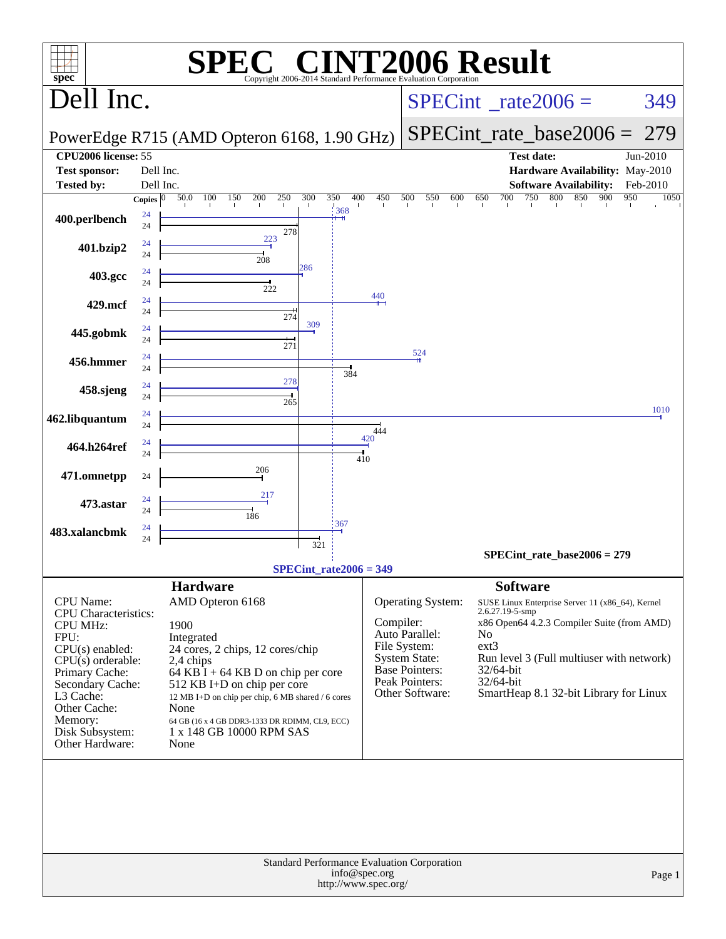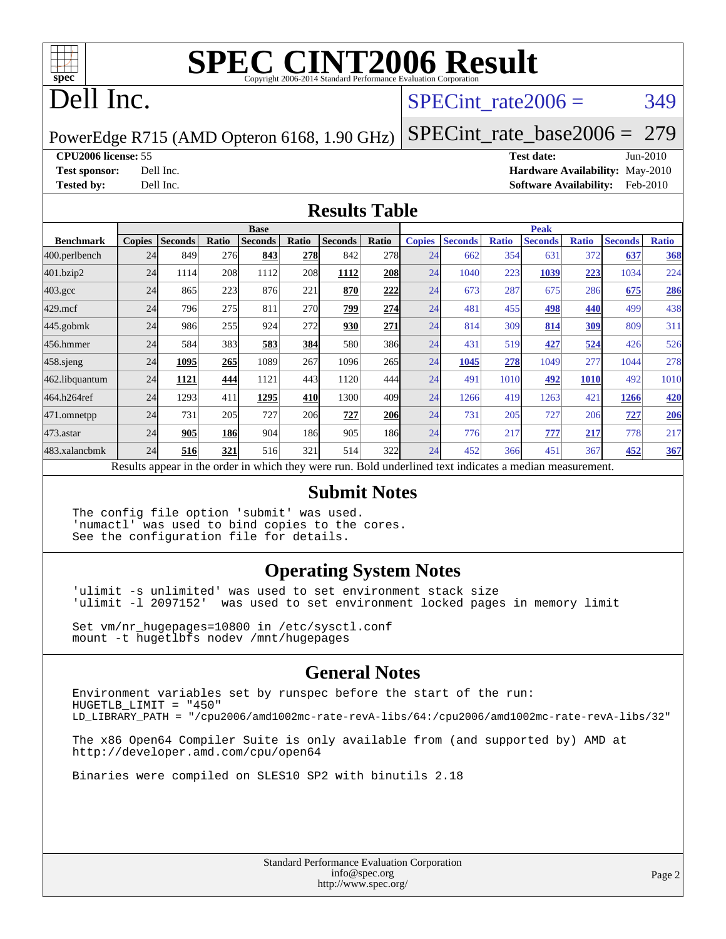

# **[SPEC CINT2006 Result](http://www.spec.org/auto/cpu2006/Docs/result-fields.html#SPECCINT2006Result)**

## Dell Inc.

#### SPECint rate $2006 = 349$

PowerEdge R715 (AMD Opteron 6168, 1.90 GHz)

[SPECint\\_rate\\_base2006 =](http://www.spec.org/auto/cpu2006/Docs/result-fields.html#SPECintratebase2006) 279

#### **[CPU2006 license:](http://www.spec.org/auto/cpu2006/Docs/result-fields.html#CPU2006license)** 55 **[Test date:](http://www.spec.org/auto/cpu2006/Docs/result-fields.html#Testdate)** Jun-2010

**[Test sponsor:](http://www.spec.org/auto/cpu2006/Docs/result-fields.html#Testsponsor)** Dell Inc. **[Hardware Availability:](http://www.spec.org/auto/cpu2006/Docs/result-fields.html#HardwareAvailability)** May-2010 **[Tested by:](http://www.spec.org/auto/cpu2006/Docs/result-fields.html#Testedby)** Dell Inc. **[Software Availability:](http://www.spec.org/auto/cpu2006/Docs/result-fields.html#SoftwareAvailability)** Feb-2010

#### **[Results Table](http://www.spec.org/auto/cpu2006/Docs/result-fields.html#ResultsTable)**

|                    | <b>Base</b>   |                |       |                                                                                                          |            |                |            | <b>Peak</b>   |                |              |                |              |                |              |
|--------------------|---------------|----------------|-------|----------------------------------------------------------------------------------------------------------|------------|----------------|------------|---------------|----------------|--------------|----------------|--------------|----------------|--------------|
| <b>Benchmark</b>   | <b>Copies</b> | <b>Seconds</b> | Ratio | <b>Seconds</b>                                                                                           | Ratio      | <b>Seconds</b> | Ratio      | <b>Copies</b> | <b>Seconds</b> | <b>Ratio</b> | <b>Seconds</b> | <b>Ratio</b> | <b>Seconds</b> | <b>Ratio</b> |
| $ 400$ .perlbench  | 24            | 849            | 276   | 843                                                                                                      | 278        | 842            | 278        | 24            | 662            | 354          | 631            | 372          | 637            | <b>368</b>   |
| 401.bzip2          | 24            | 1114           | 208   | 1112                                                                                                     | 208        | 1112           | <b>208</b> | 24            | 1040           | 223          | 1039           | 223          | 1034           | 224          |
| $403.\mathrm{gcc}$ | 24            | 865            | 223   | 876                                                                                                      | 221        | 870            | 222        | 24            | 673            | 287          | 675            | 286          | 675            | 286          |
| $429$ .mcf         | 24            | 796            | 275   | 811                                                                                                      | <b>270</b> | 799            | 274        | 24            | 481            | 455          | 498            | 440          | 499            | 438          |
| $445$ .gobmk       | 24            | 986            | 255   | 924                                                                                                      | 272        | 930            | 271        | 24            | 814            | 309          | 814            | 309          | 809            | 311          |
| 456.hmmer          | 24            | 584            | 383   | 583                                                                                                      | 384        | 580            | 386        | 24            | 431            | 519          | 427            | 524          | 426            | 526          |
| $458$ .sjeng       | 24            | 1095           | 265   | 1089                                                                                                     | 267        | 1096           | 265        | 24            | 1045           | 278          | 1049           | 277          | 1044           | 278          |
| 462.libquantum     | 24            | 1121           | 444   | 1121                                                                                                     | 443        | 1120           | 444        | 24            | 491            | 1010         | 492            | 1010         | 492            | 1010         |
| 464.h264ref        | 24            | 1293           | 411   | 1295                                                                                                     | 410        | 1300           | 409        | 24            | 1266           | 419          | 1263           | 421          | 1266           | <b>420</b>   |
| 471.omnetpp        | 24            | 731            | 205   | 727                                                                                                      | 206        | 727            | <b>206</b> | 24            | 731            | 205          | 727            | 206          | 727            | 206          |
| $473$ . astar      | 24            | 905            | 186   | 904                                                                                                      | 186I       | 905            | 186        | 24            | 776            | 217          | 777            | 217          | 778            | 217          |
| 483.xalancbmk      | 24            | 516            | 321   | 516                                                                                                      | 321        | 514            | 322        | 24            | 452            | 366          | 451            | 367          | 452            | 367          |
|                    |               |                |       | Results appear in the order in which they were run. Bold underlined text indicates a median measurement. |            |                |            |               |                |              |                |              |                |              |

#### **[Submit Notes](http://www.spec.org/auto/cpu2006/Docs/result-fields.html#SubmitNotes)**

The config file option 'submit' was used. 'numactl' was used to bind copies to the cores. See the configuration file for details.

#### **[Operating System Notes](http://www.spec.org/auto/cpu2006/Docs/result-fields.html#OperatingSystemNotes)**

'ulimit -s unlimited' was used to set environment stack size 'ulimit -l 2097152' was used to set environment locked pages in memory limit

Set vm/nr\_hugepages=10800 in /etc/sysctl.conf mount -t hugetlbfs nodev /mnt/hugepages

#### **[General Notes](http://www.spec.org/auto/cpu2006/Docs/result-fields.html#GeneralNotes)**

Environment variables set by runspec before the start of the run: HUGETLB\_LIMIT = "450" LD\_LIBRARY\_PATH = "/cpu2006/amd1002mc-rate-revA-libs/64:/cpu2006/amd1002mc-rate-revA-libs/32"

The x86 Open64 Compiler Suite is only available from (and supported by) AMD at <http://developer.amd.com/cpu/open64>

Binaries were compiled on SLES10 SP2 with binutils 2.18

Standard Performance Evaluation Corporation [info@spec.org](mailto:info@spec.org) <http://www.spec.org/>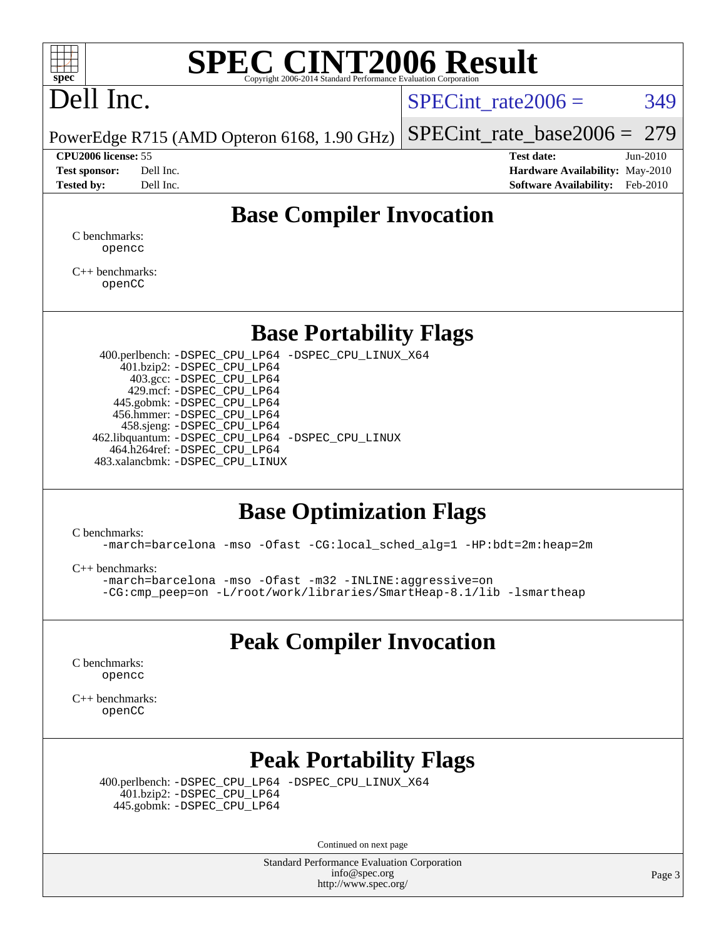

# **[SPEC CINT2006 Result](http://www.spec.org/auto/cpu2006/Docs/result-fields.html#SPECCINT2006Result)**

# Dell Inc.

SPECint rate $2006 = 349$ 

[SPECint\\_rate\\_base2006 =](http://www.spec.org/auto/cpu2006/Docs/result-fields.html#SPECintratebase2006) 279

PowerEdge R715 (AMD Opteron 6168, 1.90 GHz)

**[CPU2006 license:](http://www.spec.org/auto/cpu2006/Docs/result-fields.html#CPU2006license)** 55 **[Test date:](http://www.spec.org/auto/cpu2006/Docs/result-fields.html#Testdate)** Jun-2010 **[Test sponsor:](http://www.spec.org/auto/cpu2006/Docs/result-fields.html#Testsponsor)** Dell Inc. **[Hardware Availability:](http://www.spec.org/auto/cpu2006/Docs/result-fields.html#HardwareAvailability)** May-2010 **[Tested by:](http://www.spec.org/auto/cpu2006/Docs/result-fields.html#Testedby)** Dell Inc. **[Software Availability:](http://www.spec.org/auto/cpu2006/Docs/result-fields.html#SoftwareAvailability)** Feb-2010

#### **[Base Compiler Invocation](http://www.spec.org/auto/cpu2006/Docs/result-fields.html#BaseCompilerInvocation)**

[C benchmarks](http://www.spec.org/auto/cpu2006/Docs/result-fields.html#Cbenchmarks): [opencc](http://www.spec.org/cpu2006/results/res2010q3/cpu2006-20100705-12195.flags.html#user_CCbase_Fopencc)

[C++ benchmarks:](http://www.spec.org/auto/cpu2006/Docs/result-fields.html#CXXbenchmarks) [openCC](http://www.spec.org/cpu2006/results/res2010q3/cpu2006-20100705-12195.flags.html#user_CXXbase_FopenCC)

#### **[Base Portability Flags](http://www.spec.org/auto/cpu2006/Docs/result-fields.html#BasePortabilityFlags)**

 400.perlbench: [-DSPEC\\_CPU\\_LP64](http://www.spec.org/cpu2006/results/res2010q3/cpu2006-20100705-12195.flags.html#b400.perlbench_basePORTABILITY_DSPEC_CPU_LP64) [-DSPEC\\_CPU\\_LINUX\\_X64](http://www.spec.org/cpu2006/results/res2010q3/cpu2006-20100705-12195.flags.html#b400.perlbench_baseCPORTABILITY_DSPEC_CPU_LINUX_X64) 401.bzip2: [-DSPEC\\_CPU\\_LP64](http://www.spec.org/cpu2006/results/res2010q3/cpu2006-20100705-12195.flags.html#suite_basePORTABILITY401_bzip2_DSPEC_CPU_LP64) 403.gcc: [-DSPEC\\_CPU\\_LP64](http://www.spec.org/cpu2006/results/res2010q3/cpu2006-20100705-12195.flags.html#suite_basePORTABILITY403_gcc_DSPEC_CPU_LP64) 429.mcf: [-DSPEC\\_CPU\\_LP64](http://www.spec.org/cpu2006/results/res2010q3/cpu2006-20100705-12195.flags.html#suite_basePORTABILITY429_mcf_DSPEC_CPU_LP64) 445.gobmk: [-DSPEC\\_CPU\\_LP64](http://www.spec.org/cpu2006/results/res2010q3/cpu2006-20100705-12195.flags.html#suite_basePORTABILITY445_gobmk_DSPEC_CPU_LP64) 456.hmmer: [-DSPEC\\_CPU\\_LP64](http://www.spec.org/cpu2006/results/res2010q3/cpu2006-20100705-12195.flags.html#suite_basePORTABILITY456_hmmer_DSPEC_CPU_LP64) 458.sjeng: [-DSPEC\\_CPU\\_LP64](http://www.spec.org/cpu2006/results/res2010q3/cpu2006-20100705-12195.flags.html#suite_basePORTABILITY458_sjeng_DSPEC_CPU_LP64) 462.libquantum: [-DSPEC\\_CPU\\_LP64](http://www.spec.org/cpu2006/results/res2010q3/cpu2006-20100705-12195.flags.html#suite_basePORTABILITY462_libquantum_DSPEC_CPU_LP64) [-DSPEC\\_CPU\\_LINUX](http://www.spec.org/cpu2006/results/res2010q3/cpu2006-20100705-12195.flags.html#b462.libquantum_baseCPORTABILITY_DSPEC_CPU_LINUX) 464.h264ref: [-DSPEC\\_CPU\\_LP64](http://www.spec.org/cpu2006/results/res2010q3/cpu2006-20100705-12195.flags.html#suite_basePORTABILITY464_h264ref_DSPEC_CPU_LP64) 483.xalancbmk: [-DSPEC\\_CPU\\_LINUX](http://www.spec.org/cpu2006/results/res2010q3/cpu2006-20100705-12195.flags.html#b483.xalancbmk_baseCXXPORTABILITY_DSPEC_CPU_LINUX)

#### **[Base Optimization Flags](http://www.spec.org/auto/cpu2006/Docs/result-fields.html#BaseOptimizationFlags)**

[C benchmarks](http://www.spec.org/auto/cpu2006/Docs/result-fields.html#Cbenchmarks):

[-march=barcelona](http://www.spec.org/cpu2006/results/res2010q3/cpu2006-20100705-12195.flags.html#user_CCbase_F-march_8ea39521cada96f307a04d0b8b9c6ffb) [-mso](http://www.spec.org/cpu2006/results/res2010q3/cpu2006-20100705-12195.flags.html#user_CCbase_F-mso) [-Ofast](http://www.spec.org/cpu2006/results/res2010q3/cpu2006-20100705-12195.flags.html#user_CCbase_F-Ofast) [-CG:local\\_sched\\_alg=1](http://www.spec.org/cpu2006/results/res2010q3/cpu2006-20100705-12195.flags.html#user_CCbase_F-CG:local_sched_alg_2175ca61f1a2717f1ec57b14995b9e7a) [-HP:bdt=2m:heap=2m](http://www.spec.org/cpu2006/results/res2010q3/cpu2006-20100705-12195.flags.html#user_CCbase_F-HUGEPAGE_855e97383b49831f390a2af16fe7202f)

[C++ benchmarks:](http://www.spec.org/auto/cpu2006/Docs/result-fields.html#CXXbenchmarks)

[-march=barcelona](http://www.spec.org/cpu2006/results/res2010q3/cpu2006-20100705-12195.flags.html#user_CXXbase_F-march_8ea39521cada96f307a04d0b8b9c6ffb) [-mso](http://www.spec.org/cpu2006/results/res2010q3/cpu2006-20100705-12195.flags.html#user_CXXbase_F-mso) [-Ofast](http://www.spec.org/cpu2006/results/res2010q3/cpu2006-20100705-12195.flags.html#user_CXXbase_F-Ofast) [-m32](http://www.spec.org/cpu2006/results/res2010q3/cpu2006-20100705-12195.flags.html#user_CXXbase_F-m32) [-INLINE:aggressive=on](http://www.spec.org/cpu2006/results/res2010q3/cpu2006-20100705-12195.flags.html#user_CXXbase_F-INLINE:aggressive_e14807c0a1e56a6a83cb25ab07c7ae8a) [-CG:cmp\\_peep=on](http://www.spec.org/cpu2006/results/res2010q3/cpu2006-20100705-12195.flags.html#user_CXXbase_F-CG:cmp_peep_ab90c979e95bee1f1f617a32622424ed) [-L/root/work/libraries/SmartHeap-8.1/lib -lsmartheap](http://www.spec.org/cpu2006/results/res2010q3/cpu2006-20100705-12195.flags.html#user_CXXbase_F-L_lib_directory_lsmartheap_9ab549d8336b8b0ffe7b94e3ae706265)

### **[Peak Compiler Invocation](http://www.spec.org/auto/cpu2006/Docs/result-fields.html#PeakCompilerInvocation)**

[C benchmarks](http://www.spec.org/auto/cpu2006/Docs/result-fields.html#Cbenchmarks): [opencc](http://www.spec.org/cpu2006/results/res2010q3/cpu2006-20100705-12195.flags.html#user_CCpeak_Fopencc)

[C++ benchmarks:](http://www.spec.org/auto/cpu2006/Docs/result-fields.html#CXXbenchmarks) [openCC](http://www.spec.org/cpu2006/results/res2010q3/cpu2006-20100705-12195.flags.html#user_CXXpeak_FopenCC)

## **[Peak Portability Flags](http://www.spec.org/auto/cpu2006/Docs/result-fields.html#PeakPortabilityFlags)**

 400.perlbench: [-DSPEC\\_CPU\\_LP64](http://www.spec.org/cpu2006/results/res2010q3/cpu2006-20100705-12195.flags.html#b400.perlbench_peakPORTABILITY_DSPEC_CPU_LP64) [-DSPEC\\_CPU\\_LINUX\\_X64](http://www.spec.org/cpu2006/results/res2010q3/cpu2006-20100705-12195.flags.html#b400.perlbench_peakCPORTABILITY_DSPEC_CPU_LINUX_X64) 401.bzip2: [-DSPEC\\_CPU\\_LP64](http://www.spec.org/cpu2006/results/res2010q3/cpu2006-20100705-12195.flags.html#suite_peakPORTABILITY401_bzip2_DSPEC_CPU_LP64) 445.gobmk: [-DSPEC\\_CPU\\_LP64](http://www.spec.org/cpu2006/results/res2010q3/cpu2006-20100705-12195.flags.html#suite_peakPORTABILITY445_gobmk_DSPEC_CPU_LP64)

Continued on next page

Standard Performance Evaluation Corporation [info@spec.org](mailto:info@spec.org) <http://www.spec.org/>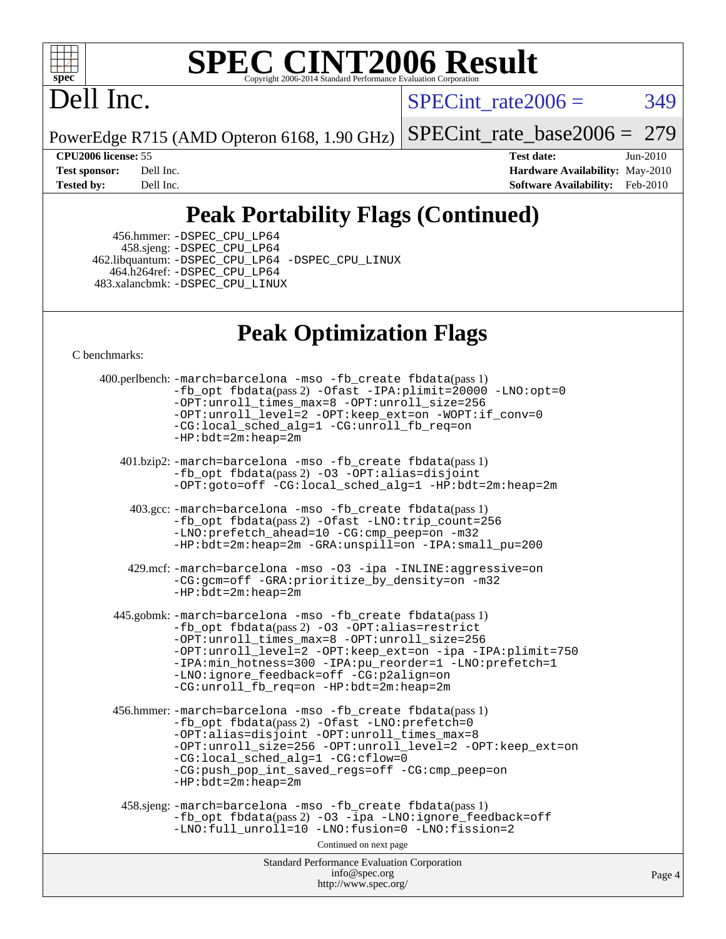

# **[SPEC CINT2006 Result](http://www.spec.org/auto/cpu2006/Docs/result-fields.html#SPECCINT2006Result)**

# Dell Inc.

 $SPECTnt_rate2006 = 349$ 

PowerEdge R715 (AMD Opteron 6168, 1.90 GHz)

[SPECint\\_rate\\_base2006 =](http://www.spec.org/auto/cpu2006/Docs/result-fields.html#SPECintratebase2006) 279

**[CPU2006 license:](http://www.spec.org/auto/cpu2006/Docs/result-fields.html#CPU2006license)** 55 **[Test date:](http://www.spec.org/auto/cpu2006/Docs/result-fields.html#Testdate)** Jun-2010 **[Test sponsor:](http://www.spec.org/auto/cpu2006/Docs/result-fields.html#Testsponsor)** Dell Inc. **[Hardware Availability:](http://www.spec.org/auto/cpu2006/Docs/result-fields.html#HardwareAvailability)** May-2010 **[Tested by:](http://www.spec.org/auto/cpu2006/Docs/result-fields.html#Testedby)** Dell Inc. **[Software Availability:](http://www.spec.org/auto/cpu2006/Docs/result-fields.html#SoftwareAvailability)** Feb-2010

## **[Peak Portability Flags \(Continued\)](http://www.spec.org/auto/cpu2006/Docs/result-fields.html#PeakPortabilityFlags)**

 456.hmmer: [-DSPEC\\_CPU\\_LP64](http://www.spec.org/cpu2006/results/res2010q3/cpu2006-20100705-12195.flags.html#suite_peakPORTABILITY456_hmmer_DSPEC_CPU_LP64) 458.sjeng: [-DSPEC\\_CPU\\_LP64](http://www.spec.org/cpu2006/results/res2010q3/cpu2006-20100705-12195.flags.html#suite_peakPORTABILITY458_sjeng_DSPEC_CPU_LP64) 462.libquantum: [-DSPEC\\_CPU\\_LP64](http://www.spec.org/cpu2006/results/res2010q3/cpu2006-20100705-12195.flags.html#suite_peakPORTABILITY462_libquantum_DSPEC_CPU_LP64) [-DSPEC\\_CPU\\_LINUX](http://www.spec.org/cpu2006/results/res2010q3/cpu2006-20100705-12195.flags.html#b462.libquantum_peakCPORTABILITY_DSPEC_CPU_LINUX) 464.h264ref: [-DSPEC\\_CPU\\_LP64](http://www.spec.org/cpu2006/results/res2010q3/cpu2006-20100705-12195.flags.html#suite_peakPORTABILITY464_h264ref_DSPEC_CPU_LP64) 483.xalancbmk: [-DSPEC\\_CPU\\_LINUX](http://www.spec.org/cpu2006/results/res2010q3/cpu2006-20100705-12195.flags.html#b483.xalancbmk_peakCXXPORTABILITY_DSPEC_CPU_LINUX)

### **[Peak Optimization Flags](http://www.spec.org/auto/cpu2006/Docs/result-fields.html#PeakOptimizationFlags)**

[C benchmarks](http://www.spec.org/auto/cpu2006/Docs/result-fields.html#Cbenchmarks):

Standard Performance Evaluation Corporation [info@spec.org](mailto:info@spec.org) <http://www.spec.org/> Page 4 400.perlbench: [-march=barcelona](http://www.spec.org/cpu2006/results/res2010q3/cpu2006-20100705-12195.flags.html#user_peakCCLD400_perlbench_F-march_8ea39521cada96f307a04d0b8b9c6ffb) [-mso](http://www.spec.org/cpu2006/results/res2010q3/cpu2006-20100705-12195.flags.html#user_peakCCLD400_perlbench_F-mso) [-fb\\_create fbdata](http://www.spec.org/cpu2006/results/res2010q3/cpu2006-20100705-12195.flags.html#user_peakPASS1_CFLAGSPASS1_LDFLAGS400_perlbench_F-fb_create_filename)(pass 1) [-fb\\_opt fbdata](http://www.spec.org/cpu2006/results/res2010q3/cpu2006-20100705-12195.flags.html#user_peakPASS2_CFLAGSPASS2_LDFLAGS400_perlbench_F-fb_opt_filename)(pass 2) [-Ofast](http://www.spec.org/cpu2006/results/res2010q3/cpu2006-20100705-12195.flags.html#user_peakCOPTIMIZE400_perlbench_F-Ofast) [-IPA:plimit=20000](http://www.spec.org/cpu2006/results/res2010q3/cpu2006-20100705-12195.flags.html#user_peakCOPTIMIZE400_perlbench_F-IPA:plimit_89e6fd9421ace0d5dab294a0a1b8be33) [-LNO:opt=0](http://www.spec.org/cpu2006/results/res2010q3/cpu2006-20100705-12195.flags.html#user_peakCOPTIMIZE400_perlbench_F-LNO:opt_b91e8b13d06f45039299c6496cc69a5f) [-OPT:unroll\\_times\\_max=8](http://www.spec.org/cpu2006/results/res2010q3/cpu2006-20100705-12195.flags.html#user_peakCOPTIMIZE400_perlbench_F-OPT:unroll_times_max_1ad8852298ca2c36a68b2d007aae0e22) [-OPT:unroll\\_size=256](http://www.spec.org/cpu2006/results/res2010q3/cpu2006-20100705-12195.flags.html#user_peakCOPTIMIZE400_perlbench_F-OPT:unroll_size_dfa492f42f50f580c3837c8b22d14f27) [-OPT:unroll\\_level=2](http://www.spec.org/cpu2006/results/res2010q3/cpu2006-20100705-12195.flags.html#user_peakCOPTIMIZE400_perlbench_F-OPT:unroll_level_2cd767e66711a193dd7aad8ffe1e4d20) [-OPT:keep\\_ext=on](http://www.spec.org/cpu2006/results/res2010q3/cpu2006-20100705-12195.flags.html#user_peakCOPTIMIZE400_perlbench_F-OPT:keep_ext_4dbb9969188886aadf10437ce9577910) [-WOPT:if\\_conv=0](http://www.spec.org/cpu2006/results/res2010q3/cpu2006-20100705-12195.flags.html#user_peakCOPTIMIZE400_perlbench_F-WOPT:if_conv_3763321a358ff896b32d6152fd83e145) [-CG:local\\_sched\\_alg=1](http://www.spec.org/cpu2006/results/res2010q3/cpu2006-20100705-12195.flags.html#user_peakCOPTIMIZE400_perlbench_F-CG:local_sched_alg_2175ca61f1a2717f1ec57b14995b9e7a) [-CG:unroll\\_fb\\_req=on](http://www.spec.org/cpu2006/results/res2010q3/cpu2006-20100705-12195.flags.html#user_peakCOPTIMIZE400_perlbench_F-CG:unroll_fb_req_6669f978801820a53c68eded7a4f0485) [-HP:bdt=2m:heap=2m](http://www.spec.org/cpu2006/results/res2010q3/cpu2006-20100705-12195.flags.html#user_peakCOPTIMIZE400_perlbench_F-HUGEPAGE_855e97383b49831f390a2af16fe7202f) 401.bzip2: [-march=barcelona](http://www.spec.org/cpu2006/results/res2010q3/cpu2006-20100705-12195.flags.html#user_peakCCLD401_bzip2_F-march_8ea39521cada96f307a04d0b8b9c6ffb) [-mso](http://www.spec.org/cpu2006/results/res2010q3/cpu2006-20100705-12195.flags.html#user_peakCCLD401_bzip2_F-mso) [-fb\\_create fbdata](http://www.spec.org/cpu2006/results/res2010q3/cpu2006-20100705-12195.flags.html#user_peakPASS1_CFLAGSPASS1_LDFLAGS401_bzip2_F-fb_create_filename)(pass 1) [-fb\\_opt fbdata](http://www.spec.org/cpu2006/results/res2010q3/cpu2006-20100705-12195.flags.html#user_peakPASS2_CFLAGSPASS2_LDFLAGS401_bzip2_F-fb_opt_filename)(pass 2) [-O3](http://www.spec.org/cpu2006/results/res2010q3/cpu2006-20100705-12195.flags.html#user_peakCOPTIMIZE401_bzip2_F-O3) [-OPT:alias=disjoint](http://www.spec.org/cpu2006/results/res2010q3/cpu2006-20100705-12195.flags.html#user_peakCOPTIMIZE401_bzip2_F-OPT:alias_af85d624bc8c113f27b06a81a9df063d) [-OPT:goto=off](http://www.spec.org/cpu2006/results/res2010q3/cpu2006-20100705-12195.flags.html#user_peakCOPTIMIZE401_bzip2_F-OPT:goto_b8760493db7ddb90acc865b6d90bb5de) [-CG:local\\_sched\\_alg=1](http://www.spec.org/cpu2006/results/res2010q3/cpu2006-20100705-12195.flags.html#user_peakCOPTIMIZE401_bzip2_F-CG:local_sched_alg_2175ca61f1a2717f1ec57b14995b9e7a) [-HP:bdt=2m:heap=2m](http://www.spec.org/cpu2006/results/res2010q3/cpu2006-20100705-12195.flags.html#user_peakCOPTIMIZE401_bzip2_F-HUGEPAGE_855e97383b49831f390a2af16fe7202f) 403.gcc: [-march=barcelona](http://www.spec.org/cpu2006/results/res2010q3/cpu2006-20100705-12195.flags.html#user_peakCCLD403_gcc_F-march_8ea39521cada96f307a04d0b8b9c6ffb) [-mso](http://www.spec.org/cpu2006/results/res2010q3/cpu2006-20100705-12195.flags.html#user_peakCCLD403_gcc_F-mso) [-fb\\_create fbdata](http://www.spec.org/cpu2006/results/res2010q3/cpu2006-20100705-12195.flags.html#user_peakPASS1_CFLAGSPASS1_LDFLAGS403_gcc_F-fb_create_filename)(pass 1) [-fb\\_opt fbdata](http://www.spec.org/cpu2006/results/res2010q3/cpu2006-20100705-12195.flags.html#user_peakPASS2_CFLAGSPASS2_LDFLAGS403_gcc_F-fb_opt_filename)(pass 2) [-Ofast](http://www.spec.org/cpu2006/results/res2010q3/cpu2006-20100705-12195.flags.html#user_peakCOPTIMIZE403_gcc_F-Ofast) [-LNO:trip\\_count=256](http://www.spec.org/cpu2006/results/res2010q3/cpu2006-20100705-12195.flags.html#user_peakCOPTIMIZE403_gcc_F-LNO:trip_count_fda57506a3ecf9651535a9a8fb03b434) [-LNO:prefetch\\_ahead=10](http://www.spec.org/cpu2006/results/res2010q3/cpu2006-20100705-12195.flags.html#user_peakCOPTIMIZE403_gcc_F-LNO:prefetch_ahead_dd92ad2fa0fda9c22e1b1c18e5a8e304) [-CG:cmp\\_peep=on](http://www.spec.org/cpu2006/results/res2010q3/cpu2006-20100705-12195.flags.html#user_peakCOPTIMIZE403_gcc_F-CG:cmp_peep_ab90c979e95bee1f1f617a32622424ed) [-m32](http://www.spec.org/cpu2006/results/res2010q3/cpu2006-20100705-12195.flags.html#user_peakCOPTIMIZE403_gcc_F-m32) [-HP:bdt=2m:heap=2m](http://www.spec.org/cpu2006/results/res2010q3/cpu2006-20100705-12195.flags.html#user_peakCOPTIMIZE403_gcc_F-HUGEPAGE_855e97383b49831f390a2af16fe7202f) [-GRA:unspill=on](http://www.spec.org/cpu2006/results/res2010q3/cpu2006-20100705-12195.flags.html#user_peakCOPTIMIZE403_gcc_F-GRA:unspill_1a6c98043856890311246be72b057593) [-IPA:small\\_pu=200](http://www.spec.org/cpu2006/results/res2010q3/cpu2006-20100705-12195.flags.html#user_peakCOPTIMIZE403_gcc_F-IPA:small_pu_9e003d10925fc6bd9336e5337d9e3a22) 429.mcf: [-march=barcelona](http://www.spec.org/cpu2006/results/res2010q3/cpu2006-20100705-12195.flags.html#user_peakCCLD429_mcf_F-march_8ea39521cada96f307a04d0b8b9c6ffb) [-mso](http://www.spec.org/cpu2006/results/res2010q3/cpu2006-20100705-12195.flags.html#user_peakCCLD429_mcf_F-mso) [-O3](http://www.spec.org/cpu2006/results/res2010q3/cpu2006-20100705-12195.flags.html#user_peakCOPTIMIZE429_mcf_F-O3) [-ipa](http://www.spec.org/cpu2006/results/res2010q3/cpu2006-20100705-12195.flags.html#user_peakCOPTIMIZE429_mcf_F-ipa) [-INLINE:aggressive=on](http://www.spec.org/cpu2006/results/res2010q3/cpu2006-20100705-12195.flags.html#user_peakCOPTIMIZE429_mcf_F-INLINE:aggressive_e14807c0a1e56a6a83cb25ab07c7ae8a) [-CG:gcm=off](http://www.spec.org/cpu2006/results/res2010q3/cpu2006-20100705-12195.flags.html#user_peakCOPTIMIZE429_mcf_F-CG:gcm_3afc0477d086a9a9afc1ccea25488f06) [-GRA:prioritize\\_by\\_density=on](http://www.spec.org/cpu2006/results/res2010q3/cpu2006-20100705-12195.flags.html#user_peakCOPTIMIZE429_mcf_F-GRA:prioritize_by_density_342c4fb73fe18829f920373223f095a5) [-m32](http://www.spec.org/cpu2006/results/res2010q3/cpu2006-20100705-12195.flags.html#user_peakCOPTIMIZE429_mcf_F-m32)  $-HP:\overline{bdt}=2m:heap=2m$  445.gobmk: [-march=barcelona](http://www.spec.org/cpu2006/results/res2010q3/cpu2006-20100705-12195.flags.html#user_peakCCLD445_gobmk_F-march_8ea39521cada96f307a04d0b8b9c6ffb) [-mso](http://www.spec.org/cpu2006/results/res2010q3/cpu2006-20100705-12195.flags.html#user_peakCCLD445_gobmk_F-mso) [-fb\\_create fbdata](http://www.spec.org/cpu2006/results/res2010q3/cpu2006-20100705-12195.flags.html#user_peakPASS1_CFLAGSPASS1_LDFLAGS445_gobmk_F-fb_create_filename)(pass 1) [-fb\\_opt fbdata](http://www.spec.org/cpu2006/results/res2010q3/cpu2006-20100705-12195.flags.html#user_peakPASS2_CFLAGSPASS2_LDFLAGS445_gobmk_F-fb_opt_filename)(pass 2) [-O3](http://www.spec.org/cpu2006/results/res2010q3/cpu2006-20100705-12195.flags.html#user_peakCOPTIMIZE445_gobmk_F-O3) [-OPT:alias=restrict](http://www.spec.org/cpu2006/results/res2010q3/cpu2006-20100705-12195.flags.html#user_peakCOPTIMIZE445_gobmk_F-OPT:alias_f74f95116c143118d3b7a69b27e837c8) [-OPT:unroll\\_times\\_max=8](http://www.spec.org/cpu2006/results/res2010q3/cpu2006-20100705-12195.flags.html#user_peakCOPTIMIZE445_gobmk_F-OPT:unroll_times_max_1ad8852298ca2c36a68b2d007aae0e22) [-OPT:unroll\\_size=256](http://www.spec.org/cpu2006/results/res2010q3/cpu2006-20100705-12195.flags.html#user_peakCOPTIMIZE445_gobmk_F-OPT:unroll_size_dfa492f42f50f580c3837c8b22d14f27) [-OPT:unroll\\_level=2](http://www.spec.org/cpu2006/results/res2010q3/cpu2006-20100705-12195.flags.html#user_peakCOPTIMIZE445_gobmk_F-OPT:unroll_level_2cd767e66711a193dd7aad8ffe1e4d20) [-OPT:keep\\_ext=on](http://www.spec.org/cpu2006/results/res2010q3/cpu2006-20100705-12195.flags.html#user_peakCOPTIMIZE445_gobmk_F-OPT:keep_ext_4dbb9969188886aadf10437ce9577910) [-ipa](http://www.spec.org/cpu2006/results/res2010q3/cpu2006-20100705-12195.flags.html#user_peakCOPTIMIZE445_gobmk_F-ipa) [-IPA:plimit=750](http://www.spec.org/cpu2006/results/res2010q3/cpu2006-20100705-12195.flags.html#user_peakCOPTIMIZE445_gobmk_F-IPA:plimit_d12b7edf4800746ab824f3a01a8ce117) [-IPA:min\\_hotness=300](http://www.spec.org/cpu2006/results/res2010q3/cpu2006-20100705-12195.flags.html#user_peakCOPTIMIZE445_gobmk_F-IPA:min_hotness_a22c9a7839d9fc5b8df1b53fa3adec91) [-IPA:pu\\_reorder=1](http://www.spec.org/cpu2006/results/res2010q3/cpu2006-20100705-12195.flags.html#user_peakCOPTIMIZE445_gobmk_F-IPA:pu_reorder_05e26b42f44c94362cdc386b470e6fd6) [-LNO:prefetch=1](http://www.spec.org/cpu2006/results/res2010q3/cpu2006-20100705-12195.flags.html#user_peakCOPTIMIZE445_gobmk_F-LNO:prefetch_0e04e5068d643a77d1eab8e86f5e8697) [-LNO:ignore\\_feedback=off](http://www.spec.org/cpu2006/results/res2010q3/cpu2006-20100705-12195.flags.html#user_peakCOPTIMIZE445_gobmk_F-LNO:ignore_feedback_1d6d06f39185b277a955c10dfd0a9a73) [-CG:p2align=on](http://www.spec.org/cpu2006/results/res2010q3/cpu2006-20100705-12195.flags.html#user_peakCOPTIMIZE445_gobmk_F-CG:p2align_eb931ffc34bd15f54521908a4451bda2) [-CG:unroll\\_fb\\_req=on](http://www.spec.org/cpu2006/results/res2010q3/cpu2006-20100705-12195.flags.html#user_peakCOPTIMIZE445_gobmk_F-CG:unroll_fb_req_6669f978801820a53c68eded7a4f0485) [-HP:bdt=2m:heap=2m](http://www.spec.org/cpu2006/results/res2010q3/cpu2006-20100705-12195.flags.html#user_peakCOPTIMIZE445_gobmk_F-HUGEPAGE_855e97383b49831f390a2af16fe7202f) 456.hmmer: [-march=barcelona](http://www.spec.org/cpu2006/results/res2010q3/cpu2006-20100705-12195.flags.html#user_peakCCLD456_hmmer_F-march_8ea39521cada96f307a04d0b8b9c6ffb) [-mso](http://www.spec.org/cpu2006/results/res2010q3/cpu2006-20100705-12195.flags.html#user_peakCCLD456_hmmer_F-mso) [-fb\\_create fbdata](http://www.spec.org/cpu2006/results/res2010q3/cpu2006-20100705-12195.flags.html#user_peakPASS1_CFLAGSPASS1_LDFLAGS456_hmmer_F-fb_create_filename)(pass 1) [-fb\\_opt fbdata](http://www.spec.org/cpu2006/results/res2010q3/cpu2006-20100705-12195.flags.html#user_peakPASS2_CFLAGSPASS2_LDFLAGS456_hmmer_F-fb_opt_filename)(pass 2) [-Ofast](http://www.spec.org/cpu2006/results/res2010q3/cpu2006-20100705-12195.flags.html#user_peakCOPTIMIZE456_hmmer_F-Ofast) [-LNO:prefetch=0](http://www.spec.org/cpu2006/results/res2010q3/cpu2006-20100705-12195.flags.html#user_peakCOPTIMIZE456_hmmer_F-LNO:prefetch_697fbd9f9feab3edac5397fc7beec995) [-OPT:alias=disjoint](http://www.spec.org/cpu2006/results/res2010q3/cpu2006-20100705-12195.flags.html#user_peakCOPTIMIZE456_hmmer_F-OPT:alias_af85d624bc8c113f27b06a81a9df063d) [-OPT:unroll\\_times\\_max=8](http://www.spec.org/cpu2006/results/res2010q3/cpu2006-20100705-12195.flags.html#user_peakCOPTIMIZE456_hmmer_F-OPT:unroll_times_max_1ad8852298ca2c36a68b2d007aae0e22) [-OPT:unroll\\_size=256](http://www.spec.org/cpu2006/results/res2010q3/cpu2006-20100705-12195.flags.html#user_peakCOPTIMIZE456_hmmer_F-OPT:unroll_size_dfa492f42f50f580c3837c8b22d14f27) [-OPT:unroll\\_level=2](http://www.spec.org/cpu2006/results/res2010q3/cpu2006-20100705-12195.flags.html#user_peakCOPTIMIZE456_hmmer_F-OPT:unroll_level_2cd767e66711a193dd7aad8ffe1e4d20) [-OPT:keep\\_ext=on](http://www.spec.org/cpu2006/results/res2010q3/cpu2006-20100705-12195.flags.html#user_peakCOPTIMIZE456_hmmer_F-OPT:keep_ext_4dbb9969188886aadf10437ce9577910) [-CG:local\\_sched\\_alg=1](http://www.spec.org/cpu2006/results/res2010q3/cpu2006-20100705-12195.flags.html#user_peakCOPTIMIZE456_hmmer_F-CG:local_sched_alg_2175ca61f1a2717f1ec57b14995b9e7a) [-CG:cflow=0](http://www.spec.org/cpu2006/results/res2010q3/cpu2006-20100705-12195.flags.html#user_peakCOPTIMIZE456_hmmer_F-CG:cflow_75ba632a6a95410c488fc5f313a16b42) [-CG:push\\_pop\\_int\\_saved\\_regs=off](http://www.spec.org/cpu2006/results/res2010q3/cpu2006-20100705-12195.flags.html#user_peakCOPTIMIZE456_hmmer_F-CG:push_pop_int_saved_regs_ae095e4f8df972ca26c2c920052f27bf) [-CG:cmp\\_peep=on](http://www.spec.org/cpu2006/results/res2010q3/cpu2006-20100705-12195.flags.html#user_peakCOPTIMIZE456_hmmer_F-CG:cmp_peep_ab90c979e95bee1f1f617a32622424ed) [-HP:bdt=2m:heap=2m](http://www.spec.org/cpu2006/results/res2010q3/cpu2006-20100705-12195.flags.html#user_peakCOPTIMIZE456_hmmer_F-HUGEPAGE_855e97383b49831f390a2af16fe7202f) 458.sjeng: [-march=barcelona](http://www.spec.org/cpu2006/results/res2010q3/cpu2006-20100705-12195.flags.html#user_peakCCLD458_sjeng_F-march_8ea39521cada96f307a04d0b8b9c6ffb) [-mso](http://www.spec.org/cpu2006/results/res2010q3/cpu2006-20100705-12195.flags.html#user_peakCCLD458_sjeng_F-mso) [-fb\\_create fbdata](http://www.spec.org/cpu2006/results/res2010q3/cpu2006-20100705-12195.flags.html#user_peakPASS1_CFLAGSPASS1_LDFLAGS458_sjeng_F-fb_create_filename)(pass 1) [-fb\\_opt fbdata](http://www.spec.org/cpu2006/results/res2010q3/cpu2006-20100705-12195.flags.html#user_peakPASS2_CFLAGSPASS2_LDFLAGS458_sjeng_F-fb_opt_filename)(pass 2) [-O3](http://www.spec.org/cpu2006/results/res2010q3/cpu2006-20100705-12195.flags.html#user_peakCOPTIMIZE458_sjeng_F-O3) [-ipa](http://www.spec.org/cpu2006/results/res2010q3/cpu2006-20100705-12195.flags.html#user_peakCOPTIMIZE458_sjeng_F-ipa) [-LNO:ignore\\_feedback=off](http://www.spec.org/cpu2006/results/res2010q3/cpu2006-20100705-12195.flags.html#user_peakCOPTIMIZE458_sjeng_F-LNO:ignore_feedback_1d6d06f39185b277a955c10dfd0a9a73) -LNO:full unroll=10 [-LNO:fusion=0](http://www.spec.org/cpu2006/results/res2010q3/cpu2006-20100705-12195.flags.html#user_peakCOPTIMIZE458_sjeng_F-LNO:fusion_780806b4edf541d16351f44d74cd5b96) [-LNO:fission=2](http://www.spec.org/cpu2006/results/res2010q3/cpu2006-20100705-12195.flags.html#user_peakCOPTIMIZE458_sjeng_F-LNO:fission_5cab2649267e6bc8b61d14b4fdbc5ab6) Continued on next page